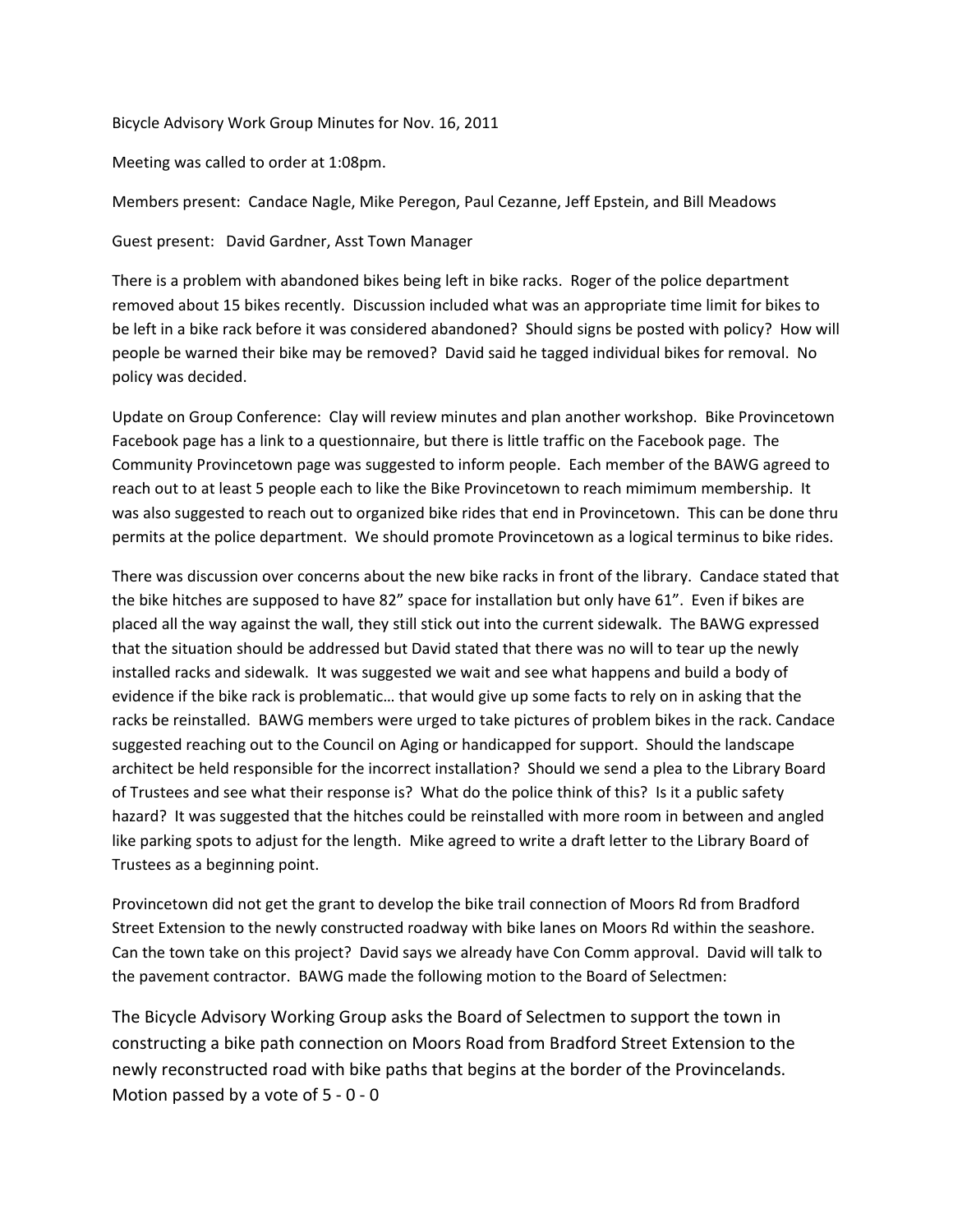Bicycle Advisory Work Group Minutes for Nov. 16, 2011

Meeting was called to order at 1:08pm.

Members present: Candace Nagle, Mike Peregon, Paul Cezanne, Jeff Epstein, and Bill Meadows

Guest present: David Gardner, Asst Town Manager

There is a problem with abandoned bikes being left in bike racks. Roger of the police department removed about 15 bikes recently. Discussion included what was an appropriate time limit for bikes to be left in a bike rack before it was considered abandoned? Should signs be posted with policy? How will people be warned their bike may be removed? David said he tagged individual bikes for removal. No policy was decided.

Update on Group Conference: Clay will review minutes and plan another workshop. Bike Provincetown Facebook page has a link to a questionnaire, but there is little traffic on the Facebook page. The Community Provincetown page was suggested to inform people. Each member of the BAWG agreed to reach out to at least 5 people each to like the Bike Provincetown to reach mimimum membership. It was also suggested to reach out to organized bike rides that end in Provincetown. This can be done thru permits at the police department. We should promote Provincetown as a logical terminus to bike rides.

There was discussion over concerns about the new bike racks in front of the library. Candace stated that the bike hitches are supposed to have 82" space for installation but only have 61". Even if bikes are placed all the way against the wall, they still stick out into the current sidewalk. The BAWG expressed that the situation should be addressed but David stated that there was no will to tear up the newly installed racks and sidewalk. It was suggested we wait and see what happens and build a body of evidence if the bike rack is problematic… that would give up some facts to rely on in asking that the racks be reinstalled. BAWG members were urged to take pictures of problem bikes in the rack. Candace suggested reaching out to the Council on Aging or handicapped for support. Should the landscape architect be held responsible for the incorrect installation? Should we send a plea to the Library Board of Trustees and see what their response is? What do the police think of this? Is it a public safety hazard? It was suggested that the hitches could be reinstalled with more room in between and angled like parking spots to adjust for the length. Mike agreed to write a draft letter to the Library Board of Trustees as a beginning point.

Provincetown did not get the grant to develop the bike trail connection of Moors Rd from Bradford Street Extension to the newly constructed roadway with bike lanes on Moors Rd within the seashore. Can the town take on this project? David says we already have Con Comm approval. David will talk to the pavement contractor. BAWG made the following motion to the Board of Selectmen:

The Bicycle Advisory Working Group asks the Board of Selectmen to support the town in constructing a bike path connection on Moors Road from Bradford Street Extension to the newly reconstructed road with bike paths that begins at the border of the Provincelands. Motion passed by a vote of 5 - 0 - 0